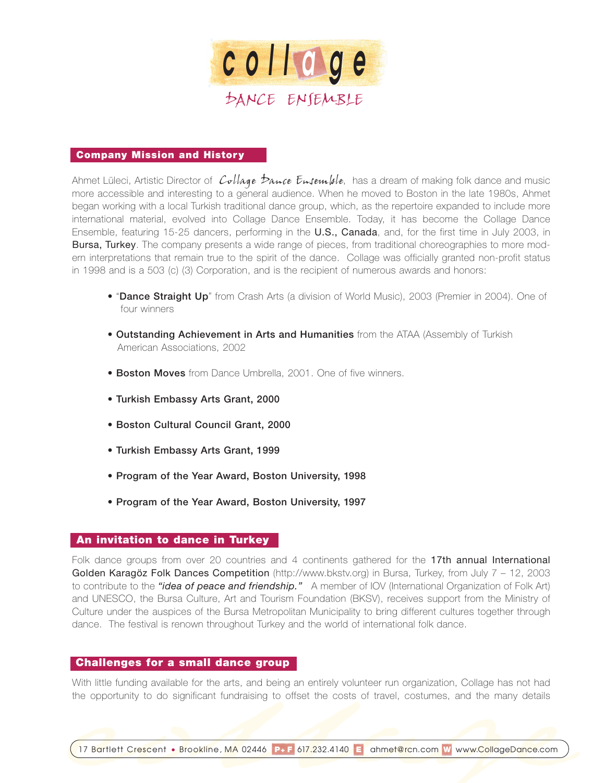

## **Company Mission and History**

Ahmet Lüleci, Artistic Director of  $\mathcal{C}$ ollage  $\mathcal{D}$ auce  $\mathcal{E}$ usemlale, has a dream of making folk dance and music more accessible and interesting to a general audience. When he moved to Boston in the late 1980s, Ahmet began working with a local Turkish traditional dance group, which, as the repertoire expanded to include more international material, evolved into Collage Dance Ensemble. Today, it has become the Collage Dance Ensemble, featuring 15-25 dancers, performing in the U.S., Canada, and, for the first time in July 2003, in Bursa, Turkey. The company presents a wide range of pieces, from traditional choreographies to more modern interpretations that remain true to the spirit of the dance. Collage was officially granted non-profit status in 1998 and is a 503 (c) (3) Corporation, and is the recipient of numerous awards and honors:

- "**Dance Straight Up**" from Crash Arts (a division of World Music), 2003 (Premier in 2004). One of four winners
- **Outstanding Achievement in Arts and Humanities** from the ATAA (Assembly of Turkish American Associations, 2002
- **Boston Moves** from Dance Umbrella, 2001. One of five winners.
- **Turkish Embassy Arts Grant, 2000**
- **Boston Cultural Council Grant, 2000**
- **Turkish Embassy Arts Grant, 1999**
- **Program of the Year Award, Boston University, 1998**
- **Program of the Year Award, Boston University, 1997**

# **An invitation to dance in Turkey**

Folk dance groups from over 20 countries and 4 continents gathered for the 17th annual International Golden Karagöz Folk Dances Competition (http://www.bkstv.org) in Bursa, Turkey, from July 7 - 12, 2003 to contribute to the *"idea of peace and friendship."* A member of IOV (International Organization of Folk Art) and UNESCO, the Bursa Culture, Art and Tourism Foundation (BKSV), receives support from the Ministry of Culture under the auspices of the Bursa Metropolitan Municipality to bring different cultures together through dance. The festival is renown throughout Turkey and the world of international folk dance.

## **Challenges for a small dance group**

With little funding available for the arts, and being an entirely volunteer run organization, Collage has not had the opportunity to do significant fundraising to offset the costs of travel, costumes, and the many details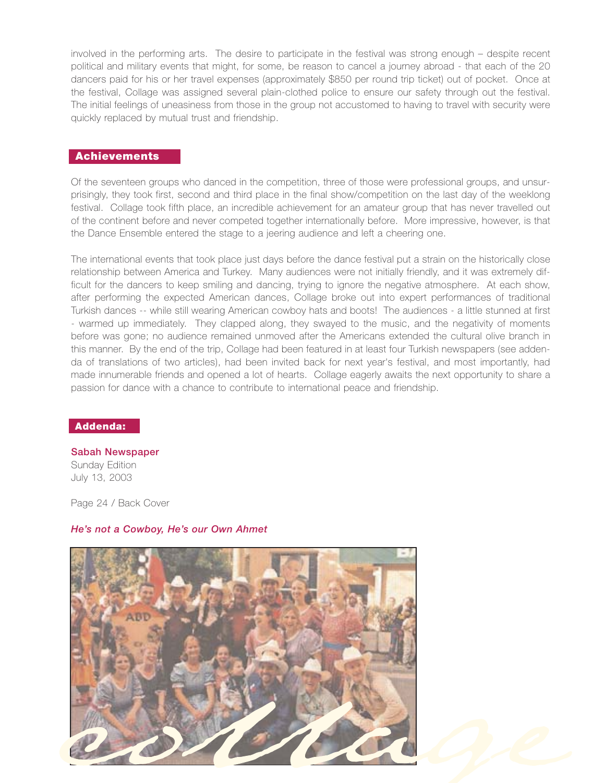involved in the performing arts. The desire to participate in the festival was strong enough – despite recent political and military events that might, for some, be reason to cancel a journey abroad - that each of the 20 dancers paid for his or her travel expenses (approximately \$850 per round trip ticket) out of pocket. Once at the festival, Collage was assigned several plain-clothed police to ensure our safety through out the festival. The initial feelings of uneasiness from those in the group not accustomed to having to travel with security were quickly replaced by mutual trust and friendship.

## **Achievements**

Of the seventeen groups who danced in the competition, three of those were professional groups, and unsurprisingly, they took first, second and third place in the final show/competition on the last day of the weeklong festival. Collage took fifth place, an incredible achievement for an amateur group that has never travelled out of the continent before and never competed together internationally before. More impressive, however, is that the Dance Ensemble entered the stage to a jeering audience and left a cheering one.

The international events that took place just days before the dance festival put a strain on the historically close relationship between America and Turkey. Many audiences were not initially friendly, and it was extremely difficult for the dancers to keep smiling and dancing, trying to ignore the negative atmosphere. At each show, after performing the expected American dances, Collage broke out into expert performances of traditional Turkish dances -- while still wearing American cowboy hats and boots! The audiences - a little stunned at first - warmed up immediately. They clapped along, they swayed to the music, and the negativity of moments before was gone; no audience remained unmoved after the Americans extended the cultural olive branch in this manner. By the end of the trip, Collage had been featured in at least four Turkish newspapers (see addenda of translations of two articles), had been invited back for next year's festival, and most importantly, had made innumerable friends and opened a lot of hearts. Collage eagerly awaits the next opportunity to share a passion for dance with a chance to contribute to international peace and friendship.

# **Addenda:**

**Sabah Newspaper** Sunday Edition July 13, 2003

Page 24 / Back Cover

# *He's not a Cowboy, He's our Own Ahmet*

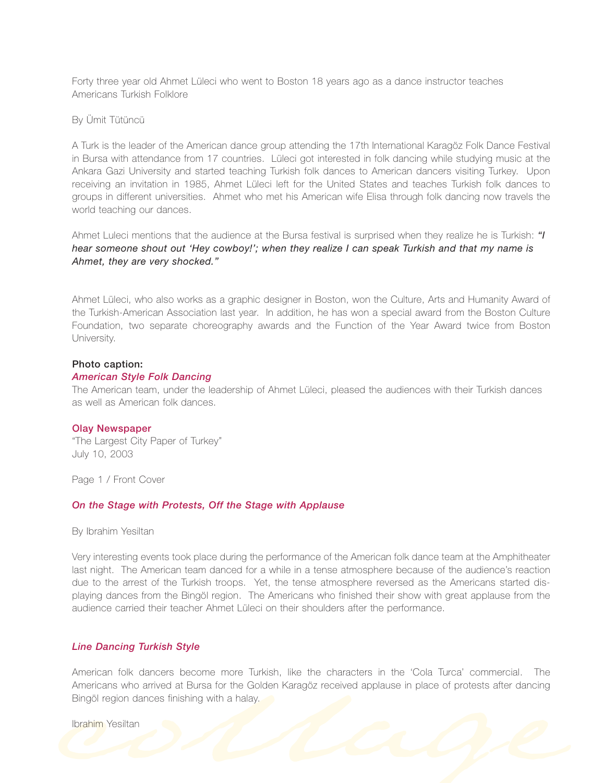Forty three year old Ahmet Lüleci who went to Boston 18 years ago as a dance instructor teaches Americans Turkish Folklore

By Ümit Tütüncü

A Turk is the leader of the American dance group attending the 17th International Karagöz Folk Dance Festival in Bursa with attendance from 17 countries. Lüleci got interested in folk dancing while studying music at the Ankara Gazi University and started teaching Turkish folk dances to American dancers visiting Turkey. Upon receiving an invitation in 1985, Ahmet Lüleci left for the United States and teaches Turkish folk dances to groups in different universities. Ahmet who met his American wife Elisa through folk dancing now travels the world teaching our dances.

Ahmet Luleci mentions that the audience at the Bursa festival is surprised when they realize he is Turkish: *"I hear someone shout out 'Hey cowboy!'; when they realize I can speak Turkish and that my name is Ahmet, they are very shocked."*

Ahmet Lüleci, who also works as a graphic designer in Boston, won the Culture, Arts and Humanity Award of the Turkish-American Association last year. In addition, he has won a special award from the Boston Culture Foundation, two separate choreography awards and the Function of the Year Award twice from Boston University.

## **Photo caption:**

#### *American Style Folk Dancing*

The American team, under the leadership of Ahmet Lüleci, pleased the audiences with their Turkish dances as well as American folk dances.

#### **Olay Newspaper**

"The Largest City Paper of Turkey" July 10, 2003

Page 1 / Front Cover

## *On the Stage with Protests, Off the Stage with Applause*

By Ibrahim Yesiltan

Very interesting events took place during the performance of the American folk dance team at the Amphitheater last night. The American team danced for a while in a tense atmosphere because of the audience's reaction due to the arrest of the Turkish troops. Yet, the tense atmosphere reversed as the Americans started displaying dances from the Bingöl region. The Americans who finished their show with great applause from the audience carried their teacher Ahmet Lüleci on their shoulders after the performance.

### *Line Dancing Turkish Style*

American folk dancers become more Turkish, like the characters in the 'Cola Turca' commercial. The Americans who arrived at Bursa for the Golden Karagöz received applause in place of protests after dancing Bingöl region dances finishing with a halay.

Ibrahim Yesiltan